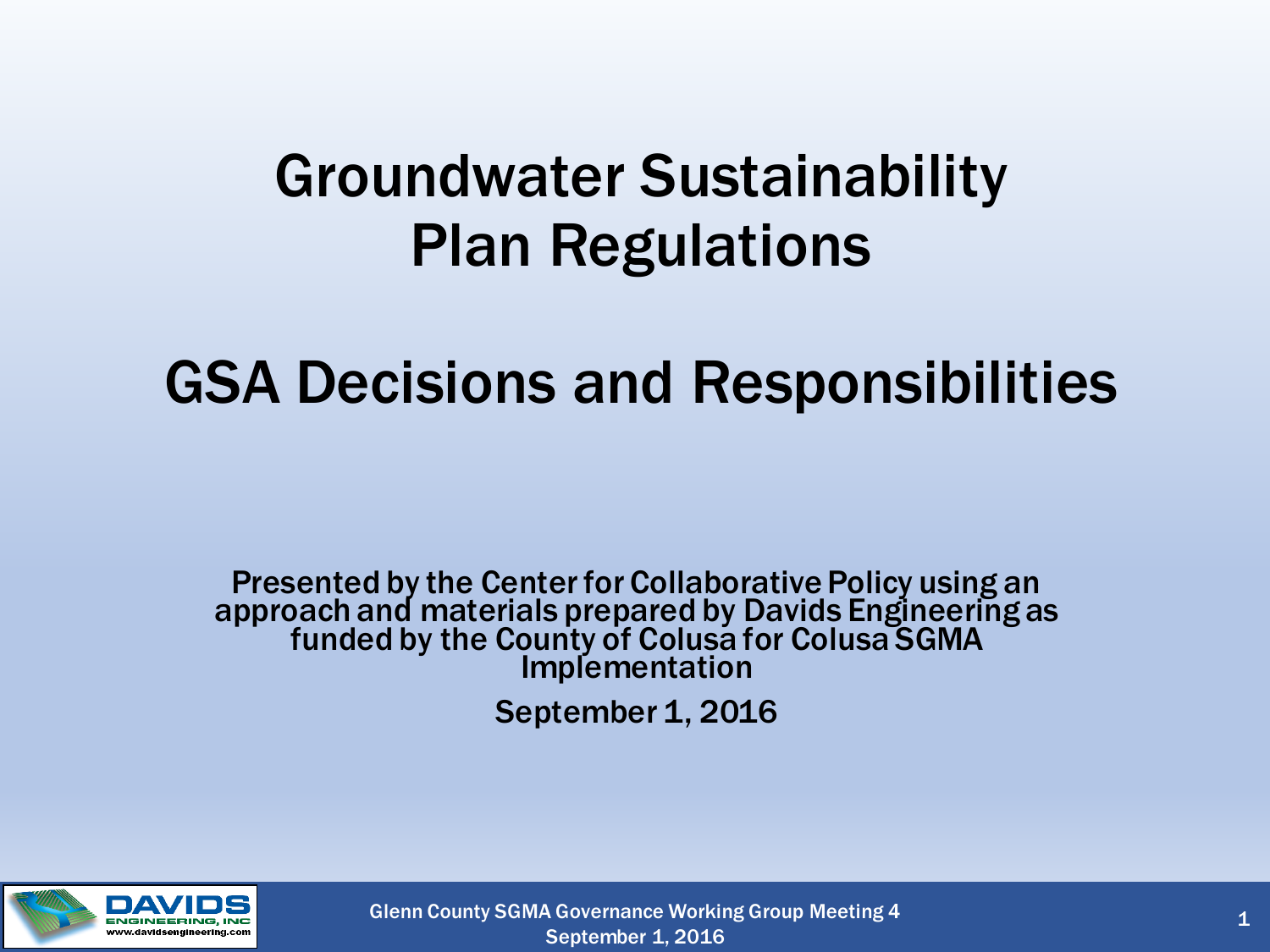#### Groundwater Sustainability Plan Regulations

#### GSA Decisions and Responsibilities

Presented by the Center for Collaborative Policy using an approach and materials prepared by Davids Engineering as funded by the County of Colusa for Colusa SGMA Implementation

September 1, 2016



Glenn County SGMA Governance Working Group Meeting 4 September 1, 2016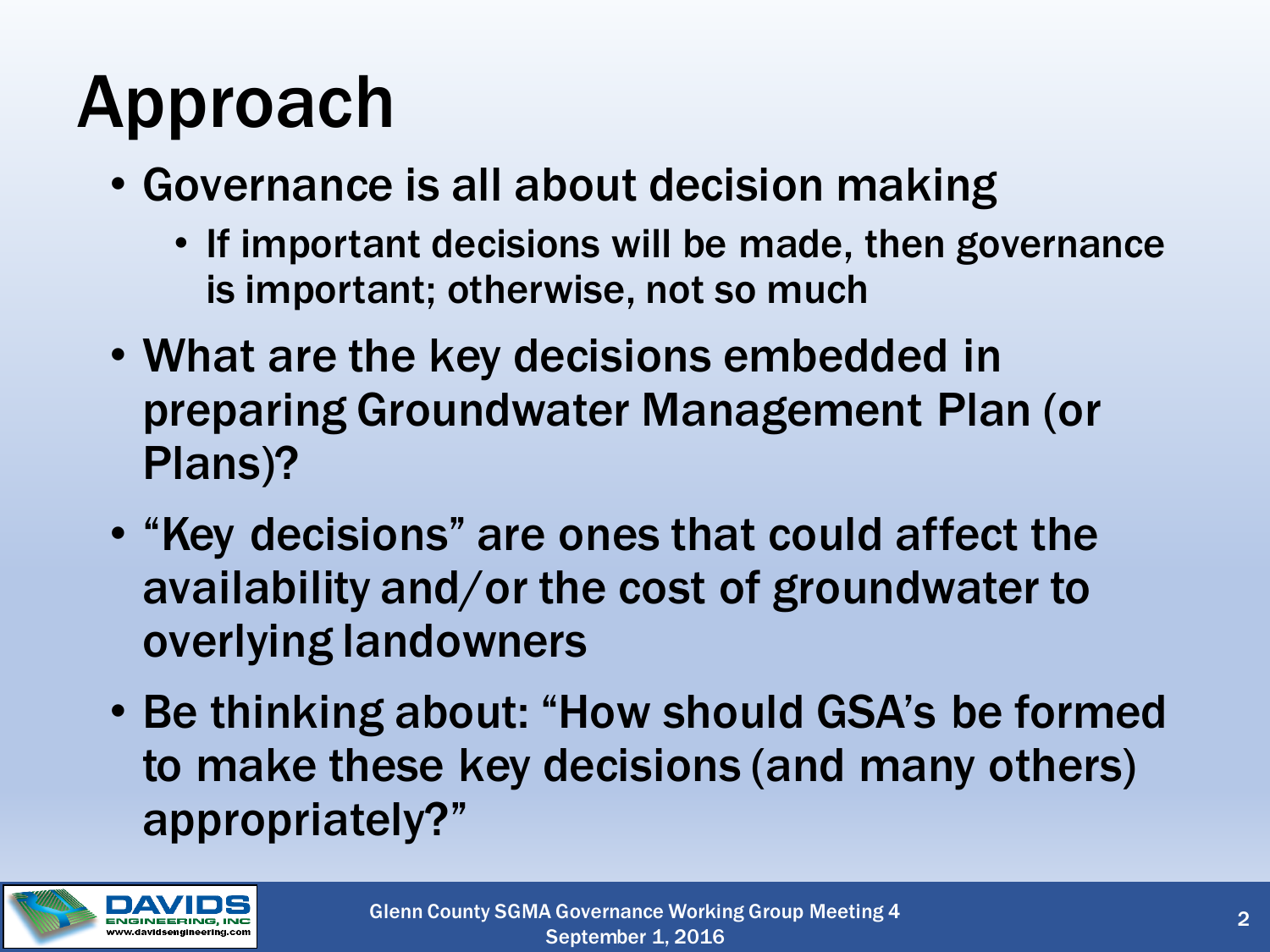# Approach

- Governance is all about decision making
	- If important decisions will be made, then governance is important; otherwise, not so much
- What are the key decisions embedded in preparing Groundwater Management Plan (or Plans)?
- "Key decisions" are ones that could affect the availability and/or the cost of groundwater to overlying landowners
- Be thinking about: "How should GSA's be formed to make these key decisions (and many others) appropriately?"

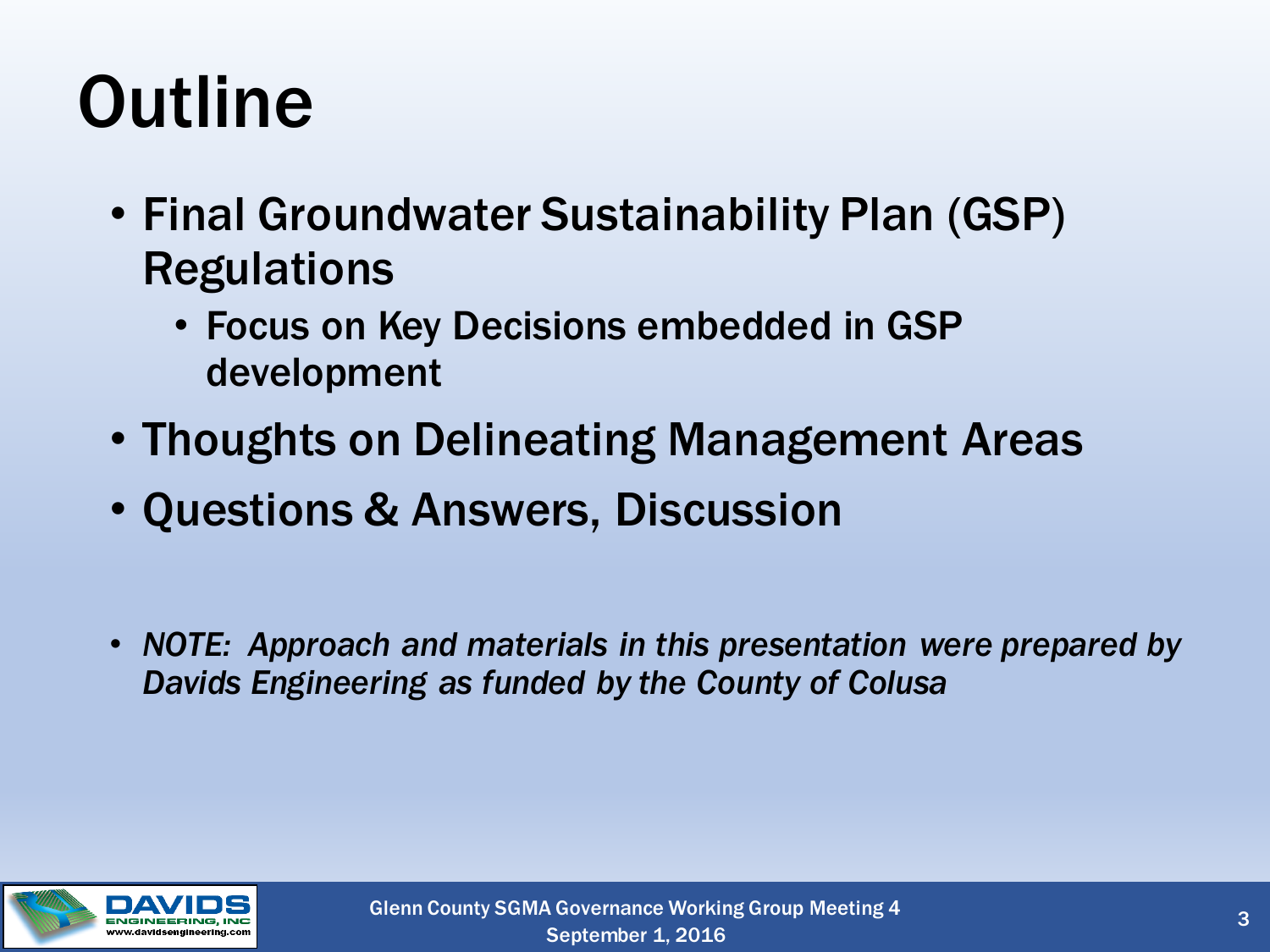# **Outline**

- Final Groundwater Sustainability Plan (GSP) **Regulations** 
	- Focus on Key Decisions embedded in GSP development
- Thoughts on Delineating Management Areas
- Questions & Answers, Discussion
- *NOTE: Approach and materials in this presentation were prepared by Davids Engineering as funded by the County of Colusa*

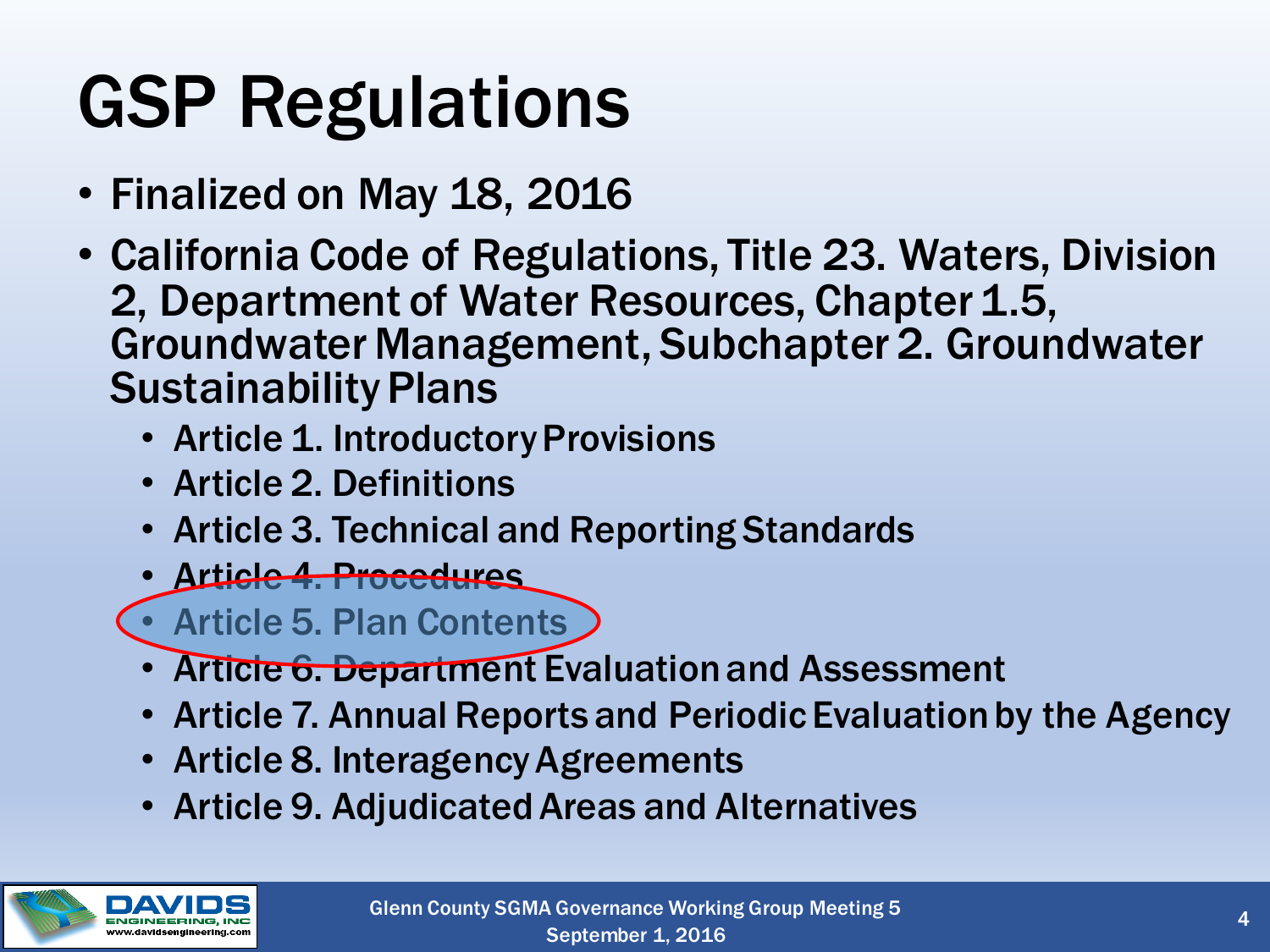# GSP Regulations

- Finalized on May 18, 2016
- California Code of Regulations, Title 23. Waters, Division 2, Department of Water Resources, Chapter 1.5, Groundwater Management, Subchapter 2. Groundwater Sustainability Plans
	- Article 1. Introductory Provisions
	- Article 2. Definitions
	- Article 3. Technical and Reporting Standards
	- Article 4. Procedures
	- Article 5. Plan Contents
	- Article 6. Department Evaluation and Assessment
	- Article 7. Annual Reports and Periodic Evaluation by the Agency
	- Article 8. Interagency Agreements
	- Article 9. Adjudicated Areas and Alternatives

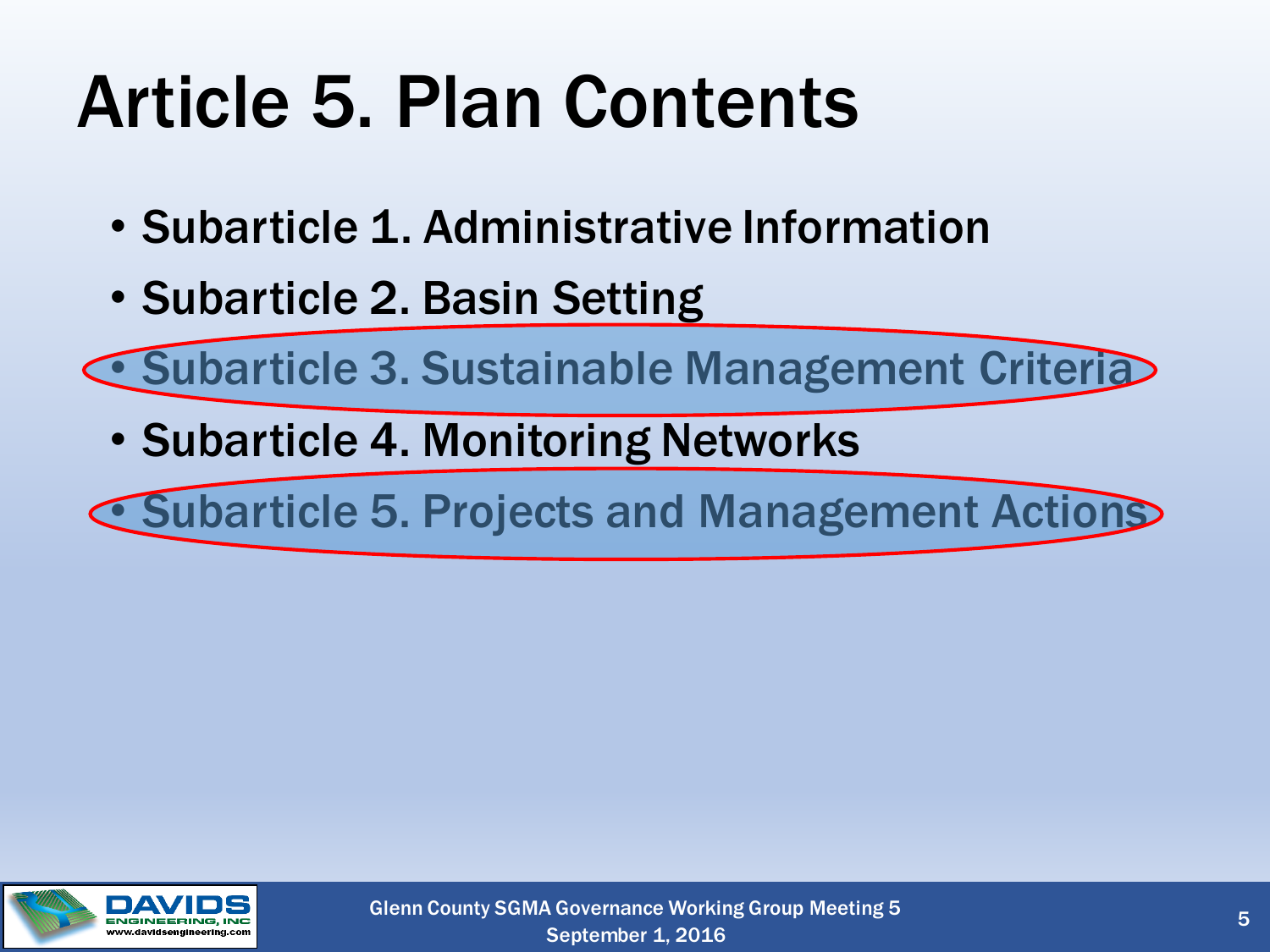# Article 5. Plan Contents

- Subarticle 1. Administrative Information
- Subarticle 2. Basin Setting

• Subarticle 3. Sustainable Management Criteria

• Subarticle 4. Monitoring Networks

• Subarticle 5. Projects and Management Actions

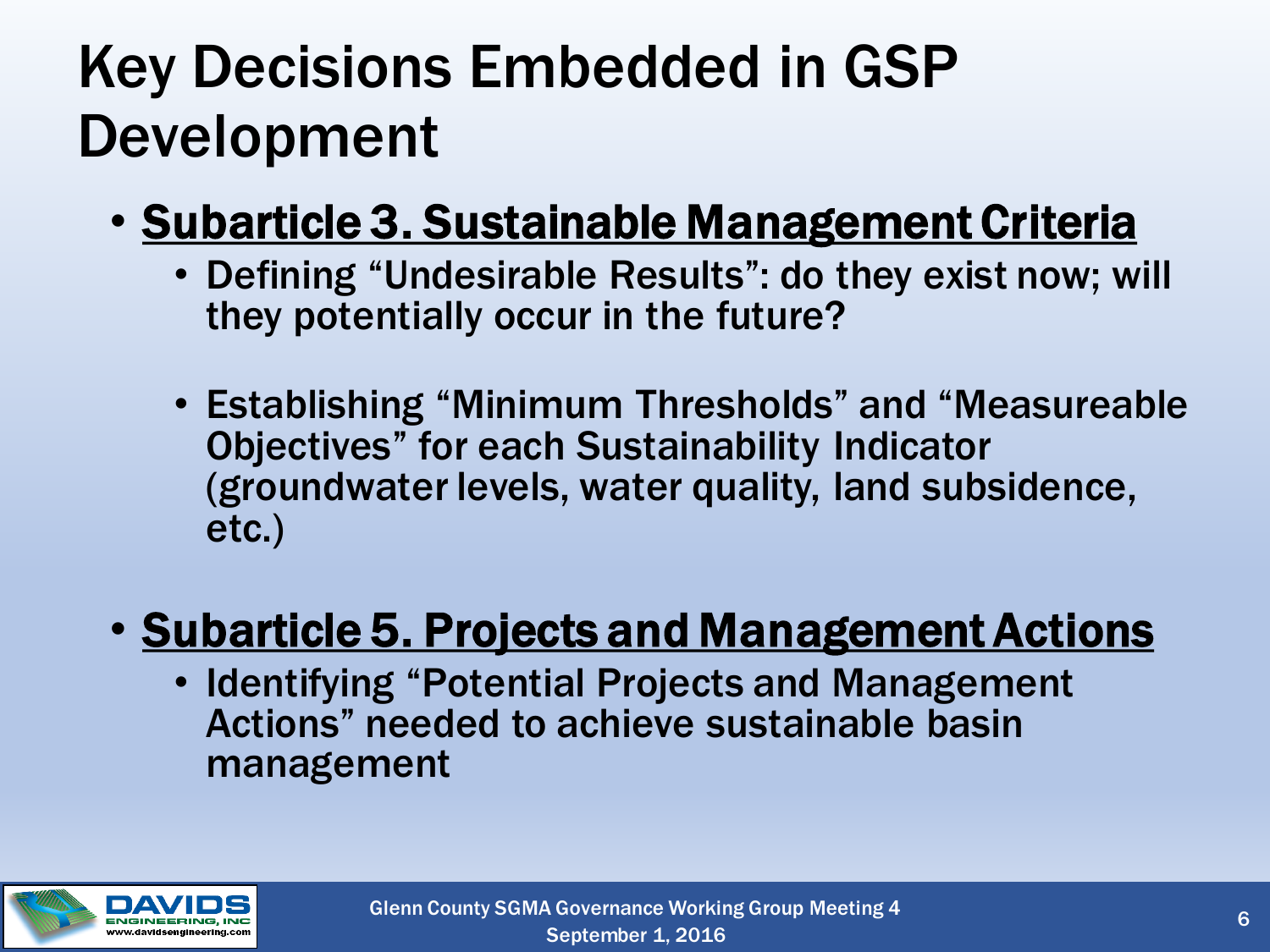### Key Decisions Embedded in GSP Development

- Subarticle 3. Sustainable Management Criteria
	- Defining "Undesirable Results": do they exist now; will they potentially occur in the future?
	- Establishing "Minimum Thresholds" and "Measureable Objectives" for each Sustainability Indicator (groundwater levels, water quality, land subsidence, etc.)

#### • Subarticle 5. Projects and Management Actions

• Identifying "Potential Projects and Management Actions" needed to achieve sustainable basin management

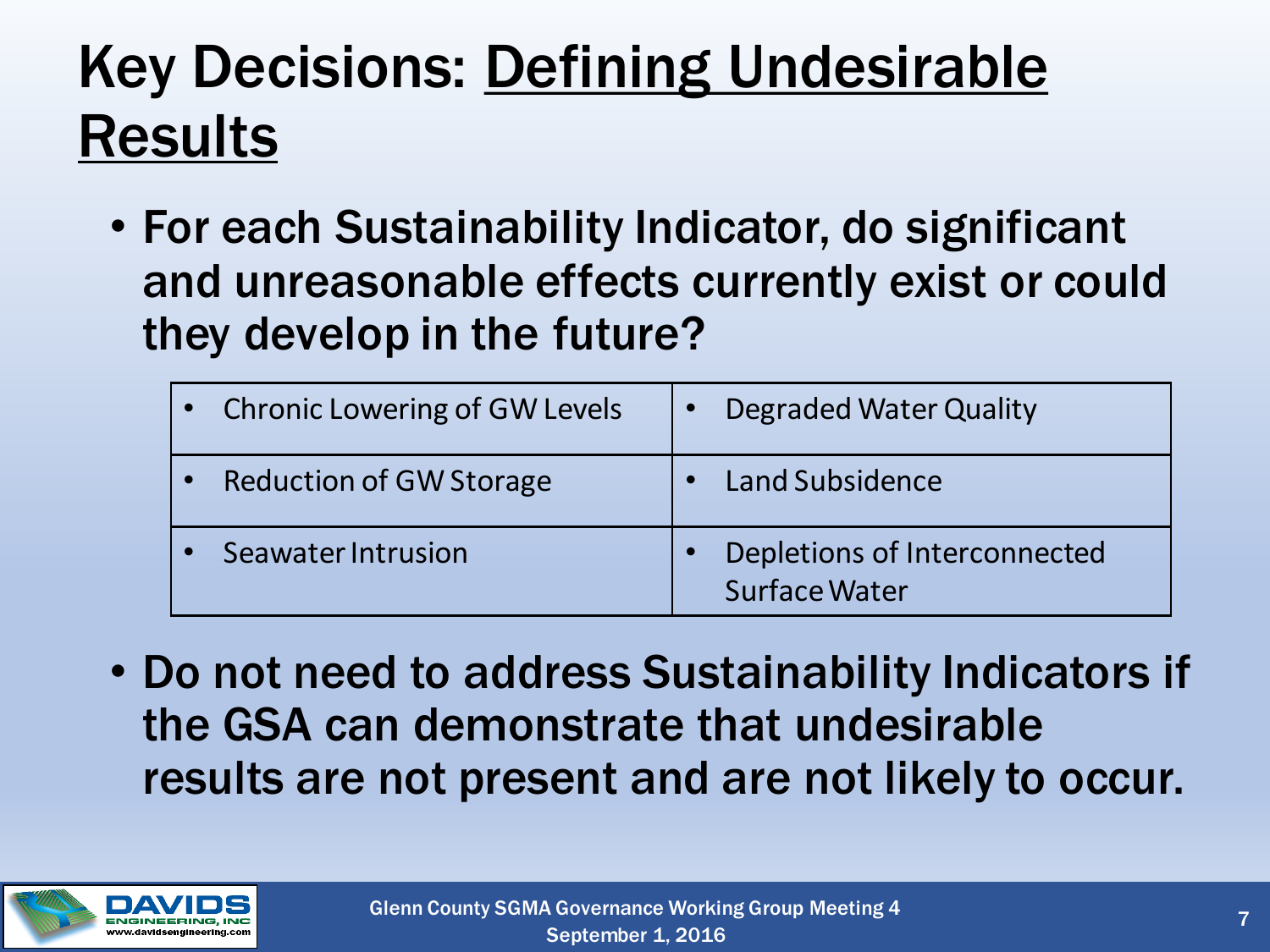### Key Decisions: Defining Undesirable Results

• For each Sustainability Indicator, do significant and unreasonable effects currently exist or could they develop in the future?

| • Chronic Lowering of GW Levels | Degraded Water Quality                               |
|---------------------------------|------------------------------------------------------|
| • Reduction of GW Storage       | • Land Subsidence                                    |
| Seawater Intrusion              | Depletions of Interconnected<br><b>Surface Water</b> |

• Do not need to address Sustainability Indicators if the GSA can demonstrate that undesirable results are not present and are not likely to occur.

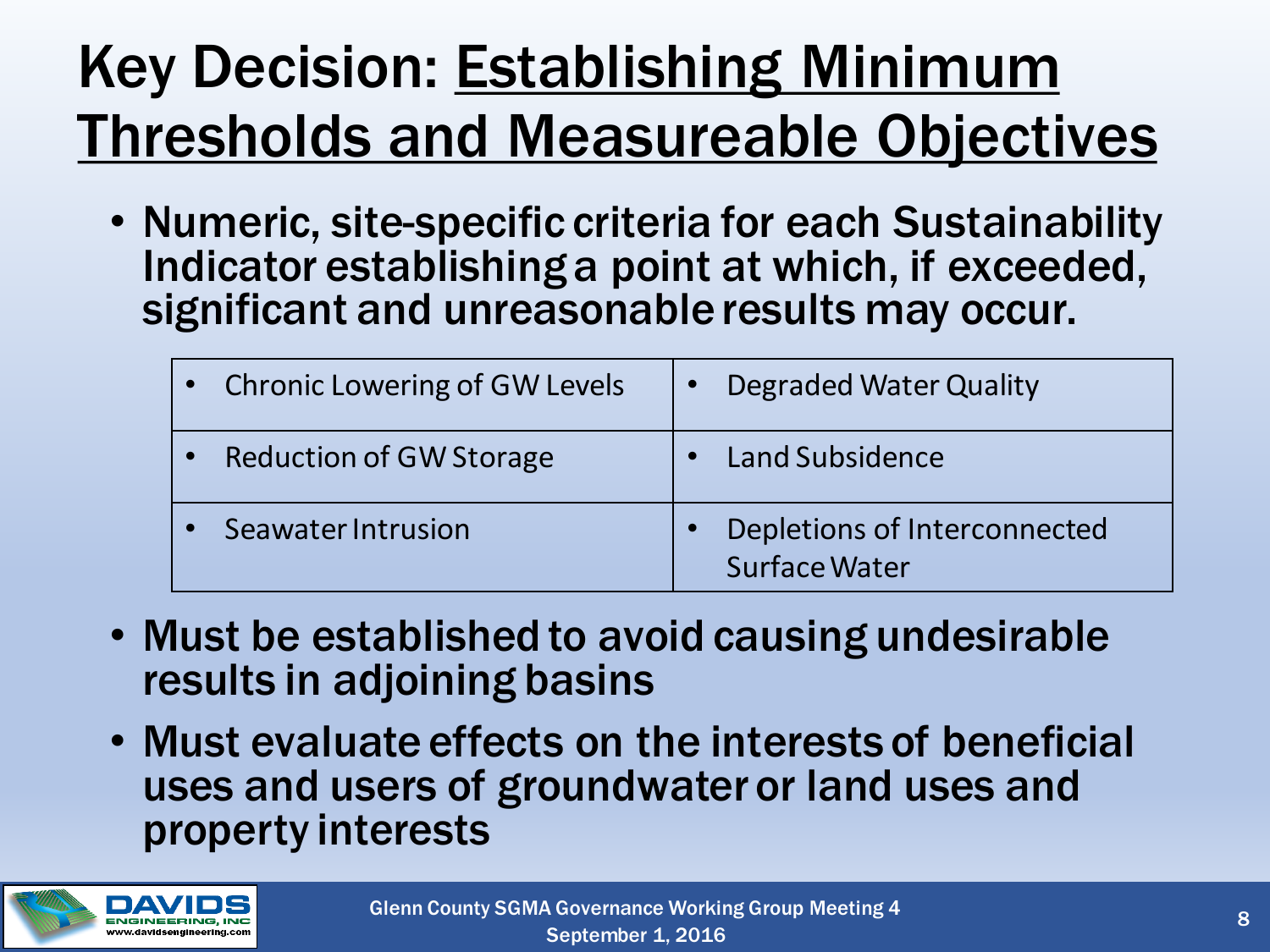### Key Decision: **Establishing Minimum** Thresholds and Measureable Objectives

• Numeric, site-specific criteria for each Sustainability Indicator establishing a point at which, if exceeded, significant and unreasonable results may occur.

| • Chronic Lowering of GW Levels | Degraded Water Quality                               |
|---------------------------------|------------------------------------------------------|
| <b>Reduction of GW Storage</b>  | • Land Subsidence                                    |
| Seawater Intrusion              | Depletions of Interconnected<br><b>Surface Water</b> |

- Must be established to avoid causing undesirable results in adjoining basins
- Must evaluate effects on the interests of beneficial uses and users of groundwater or land uses and property interests

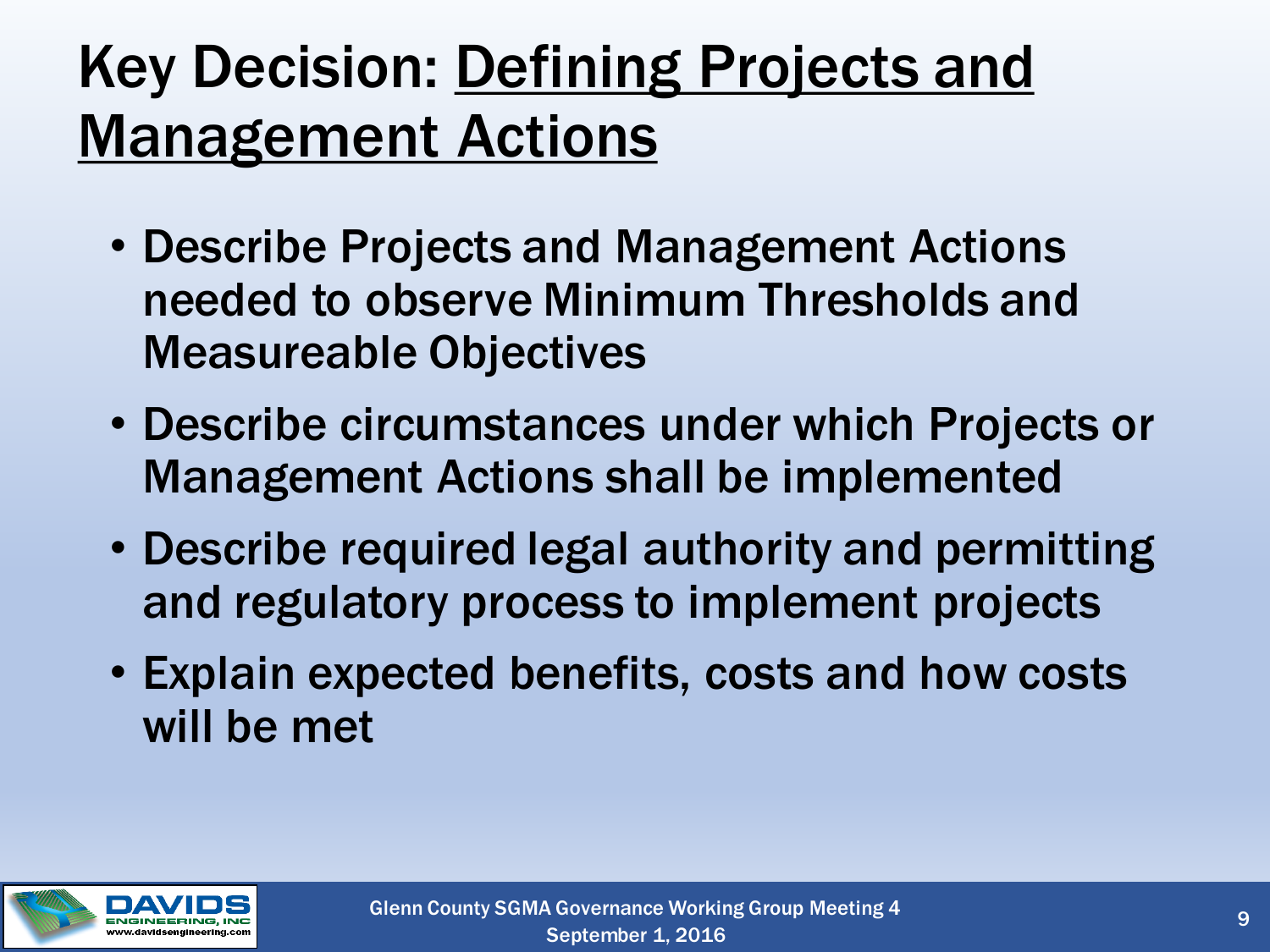### Key Decision: Defining Projects and **Management Actions**

- Describe Projects and Management Actions needed to observe Minimum Thresholds and Measureable Objectives
- Describe circumstances under which Projects or Management Actions shall be implemented
- Describe required legal authority and permitting and regulatory process to implement projects
- Explain expected benefits, costs and how costs will be met

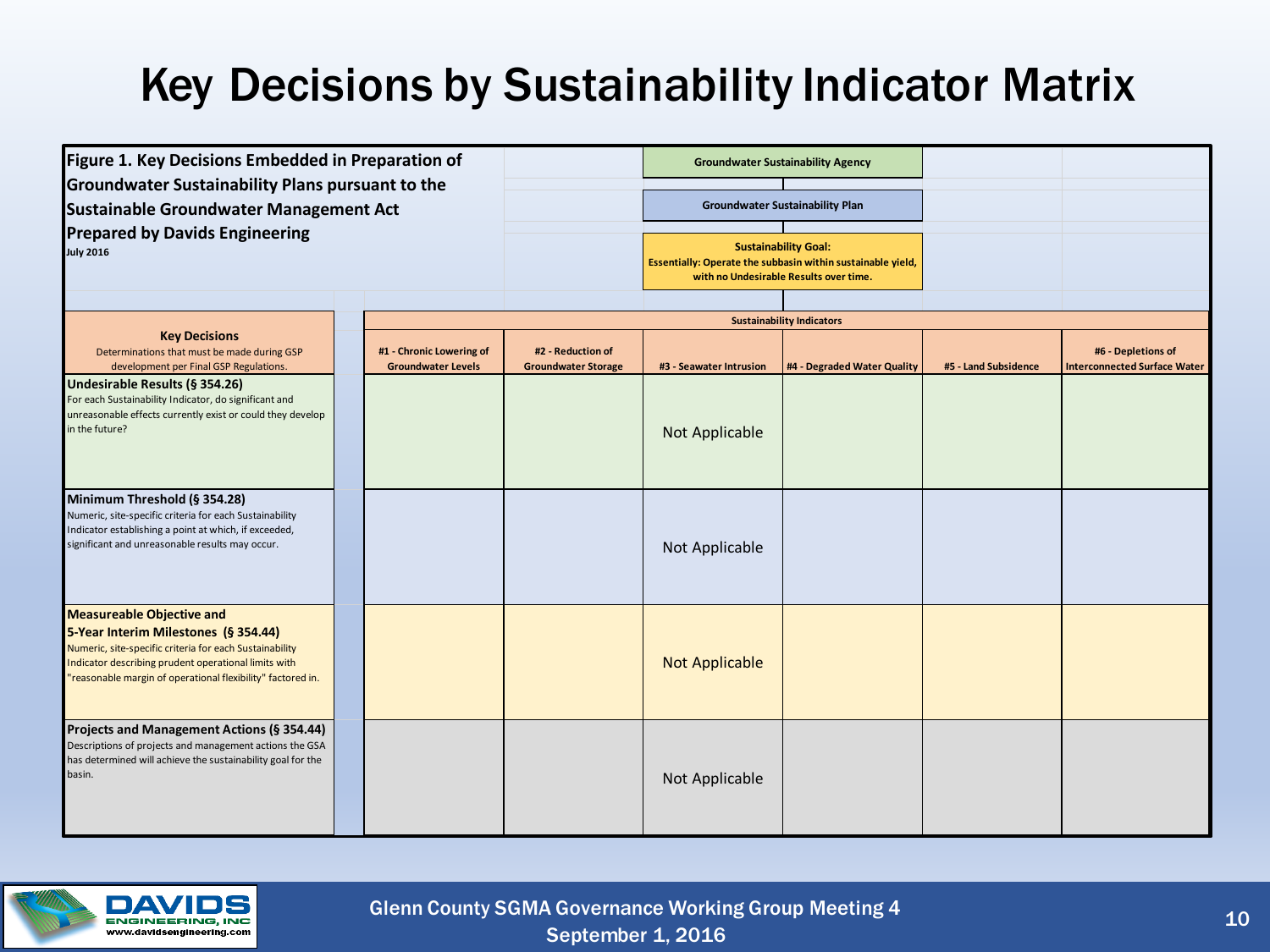#### Key Decisions by Sustainability Indicator Matrix

| Figure 1. Key Decisions Embedded in Preparation of<br><b>Groundwater Sustainability Plans pursuant to the</b><br><b>Sustainable Groundwater Management Act</b><br><b>Prepared by Davids Engineering</b><br><b>July 2016</b>                                |  |                                                       |                                                 | <b>Groundwater Sustainability Agency</b> |                                                                                                                                      |                      |                                                           |
|------------------------------------------------------------------------------------------------------------------------------------------------------------------------------------------------------------------------------------------------------------|--|-------------------------------------------------------|-------------------------------------------------|------------------------------------------|--------------------------------------------------------------------------------------------------------------------------------------|----------------------|-----------------------------------------------------------|
|                                                                                                                                                                                                                                                            |  |                                                       |                                                 |                                          | <b>Groundwater Sustainability Plan</b>                                                                                               |                      |                                                           |
|                                                                                                                                                                                                                                                            |  |                                                       |                                                 |                                          | <b>Sustainability Goal:</b><br>Essentially: Operate the subbasin within sustainable yield,<br>with no Undesirable Results over time. |                      |                                                           |
|                                                                                                                                                                                                                                                            |  |                                                       |                                                 |                                          | <b>Sustainability Indicators</b>                                                                                                     |                      |                                                           |
| <b>Key Decisions</b><br>Determinations that must be made during GSP<br>development per Final GSP Regulations.                                                                                                                                              |  | #1 - Chronic Lowering of<br><b>Groundwater Levels</b> | #2 - Reduction of<br><b>Groundwater Storage</b> | #3 - Seawater Intrusion                  | #4 - Degraded Water Quality                                                                                                          | #5 - Land Subsidence | #6 - Depletions of<br><b>Interconnected Surface Water</b> |
| Undesirable Results (§ 354.26)<br>For each Sustainability Indicator, do significant and<br>unreasonable effects currently exist or could they develop<br>in the future?                                                                                    |  |                                                       |                                                 | Not Applicable                           |                                                                                                                                      |                      |                                                           |
| Minimum Threshold (§ 354.28)<br>Numeric, site-specific criteria for each Sustainability<br>Indicator establishing a point at which, if exceeded,<br>significant and unreasonable results may occur.                                                        |  |                                                       |                                                 | Not Applicable                           |                                                                                                                                      |                      |                                                           |
| <b>Measureable Objective and</b><br>5-Year Interim Milestones (§ 354.44)<br>Numeric, site-specific criteria for each Sustainability<br>Indicator describing prudent operational limits with<br>"reasonable margin of operational flexibility" factored in. |  |                                                       |                                                 | <b>Not Applicable</b>                    |                                                                                                                                      |                      |                                                           |
| Projects and Management Actions (§ 354.44)<br>Descriptions of projects and management actions the GSA<br>has determined will achieve the sustainability goal for the<br>basin.                                                                             |  |                                                       |                                                 | Not Applicable                           |                                                                                                                                      |                      |                                                           |



September 1, 2016 Glenn County SGMA Governance Working Group Meeting 4 10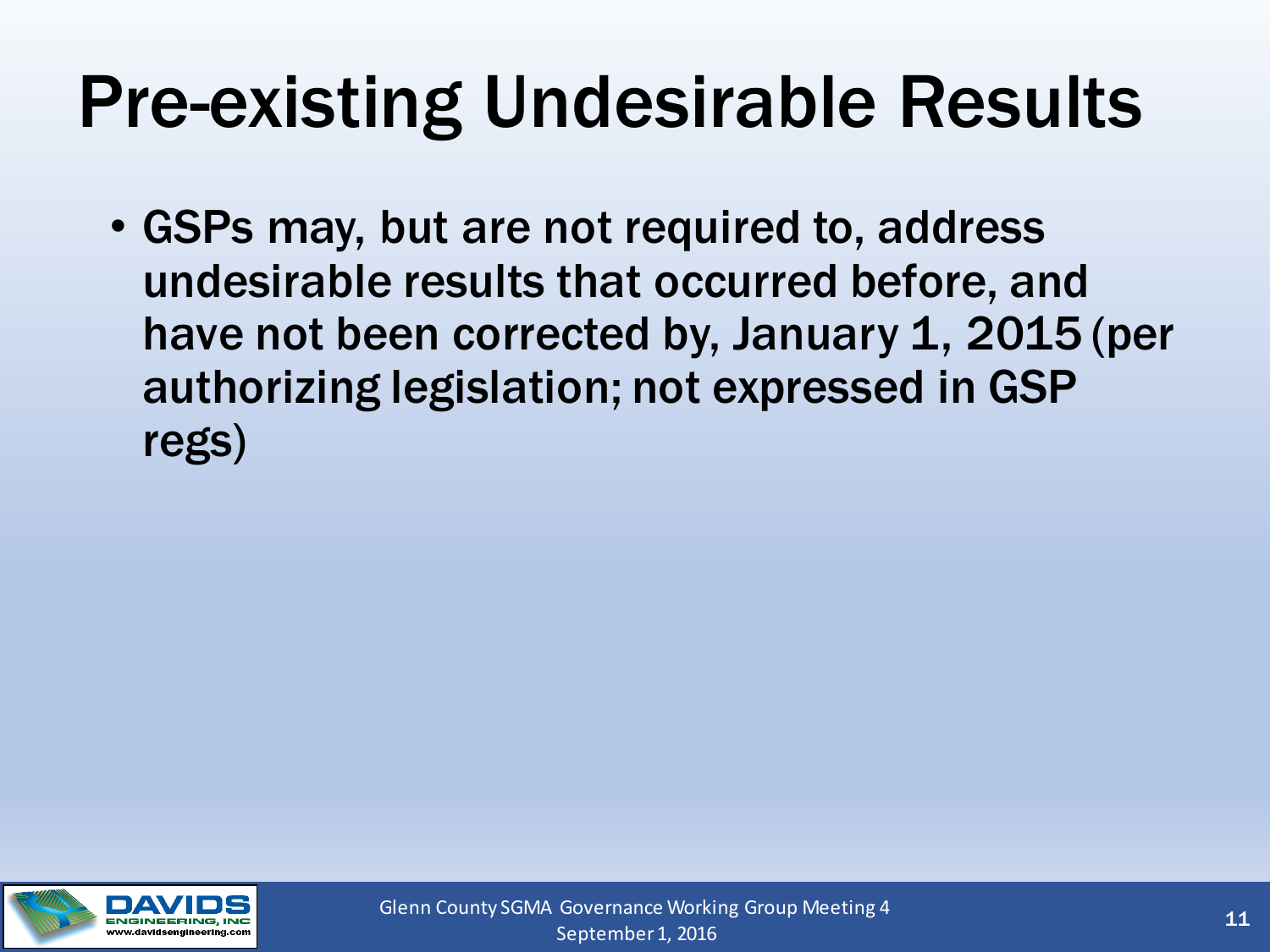## Pre-existing Undesirable Results

• GSPs may, but are not required to, address undesirable results that occurred before, and have not been corrected by, January 1, 2015 (per authorizing legislation; not expressed in GSP regs)

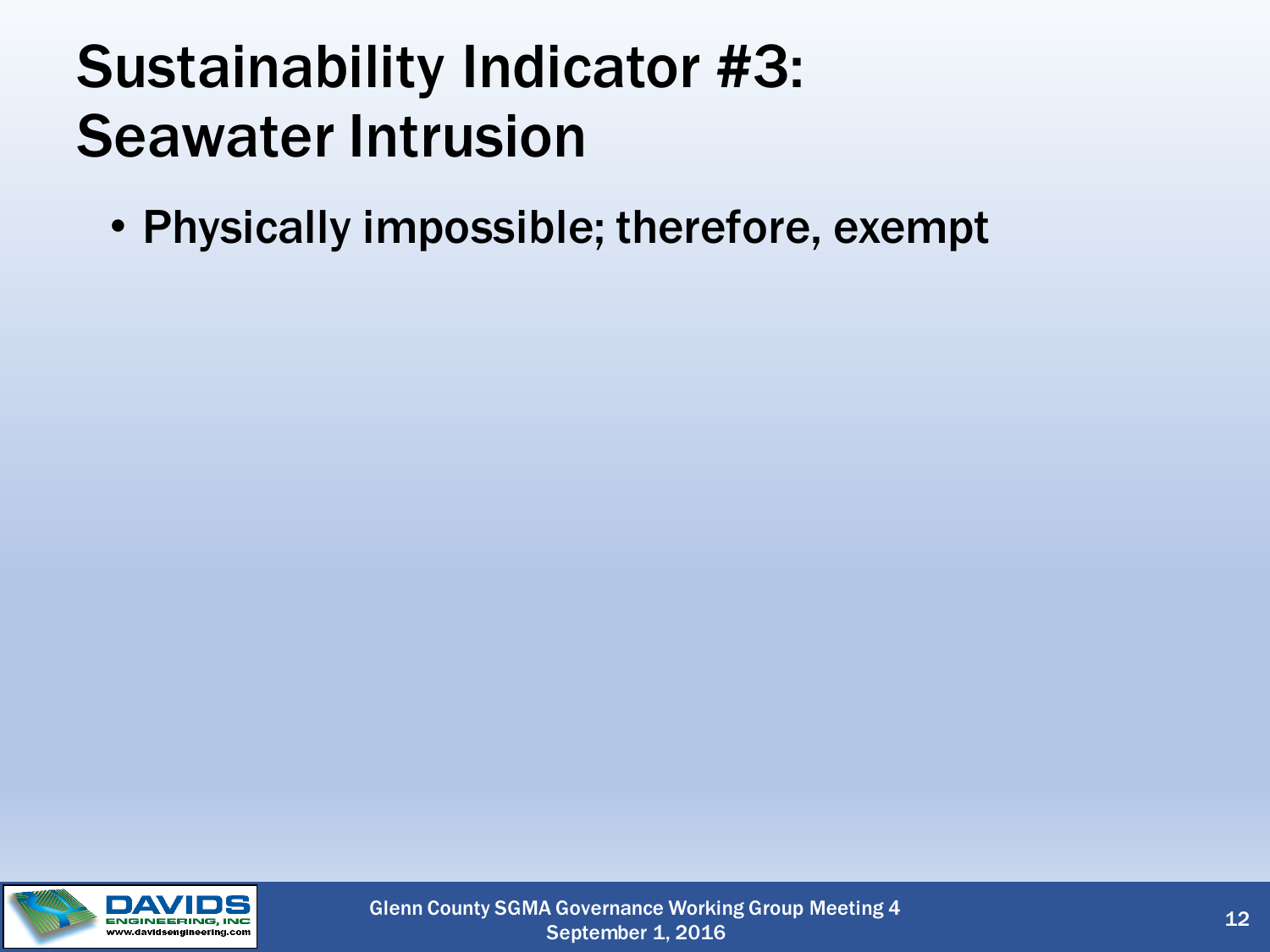#### Sustainability Indicator #3: Seawater Intrusion

• Physically impossible; therefore, exempt

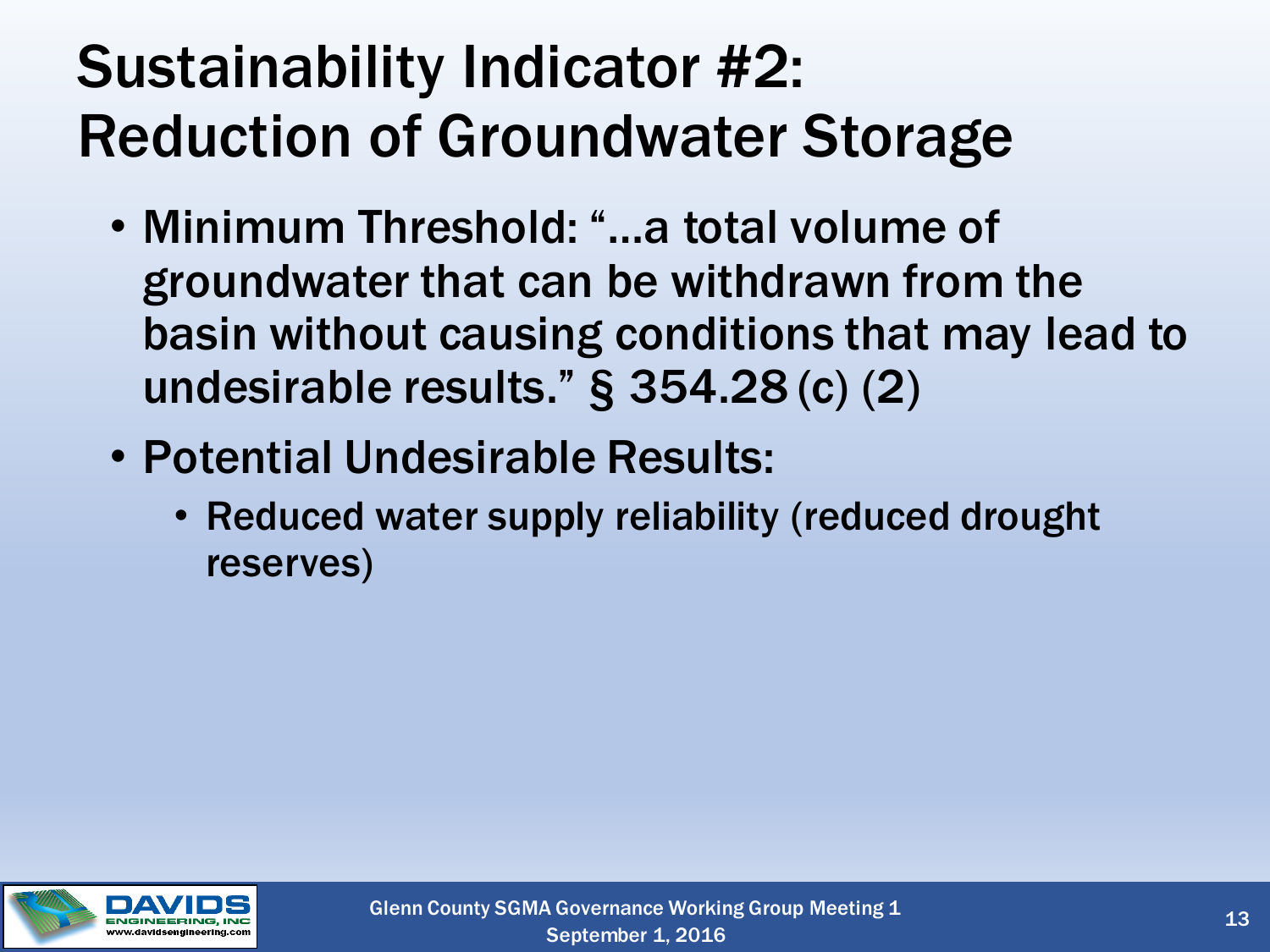### Sustainability Indicator #2: Reduction of Groundwater Storage

- Minimum Threshold: "…a total volume of groundwater that can be withdrawn from the basin without causing conditions that may lead to undesirable results." § 354.28 (c) (2)
- Potential Undesirable Results:
	- Reduced water supply reliability (reduced drought reserves)

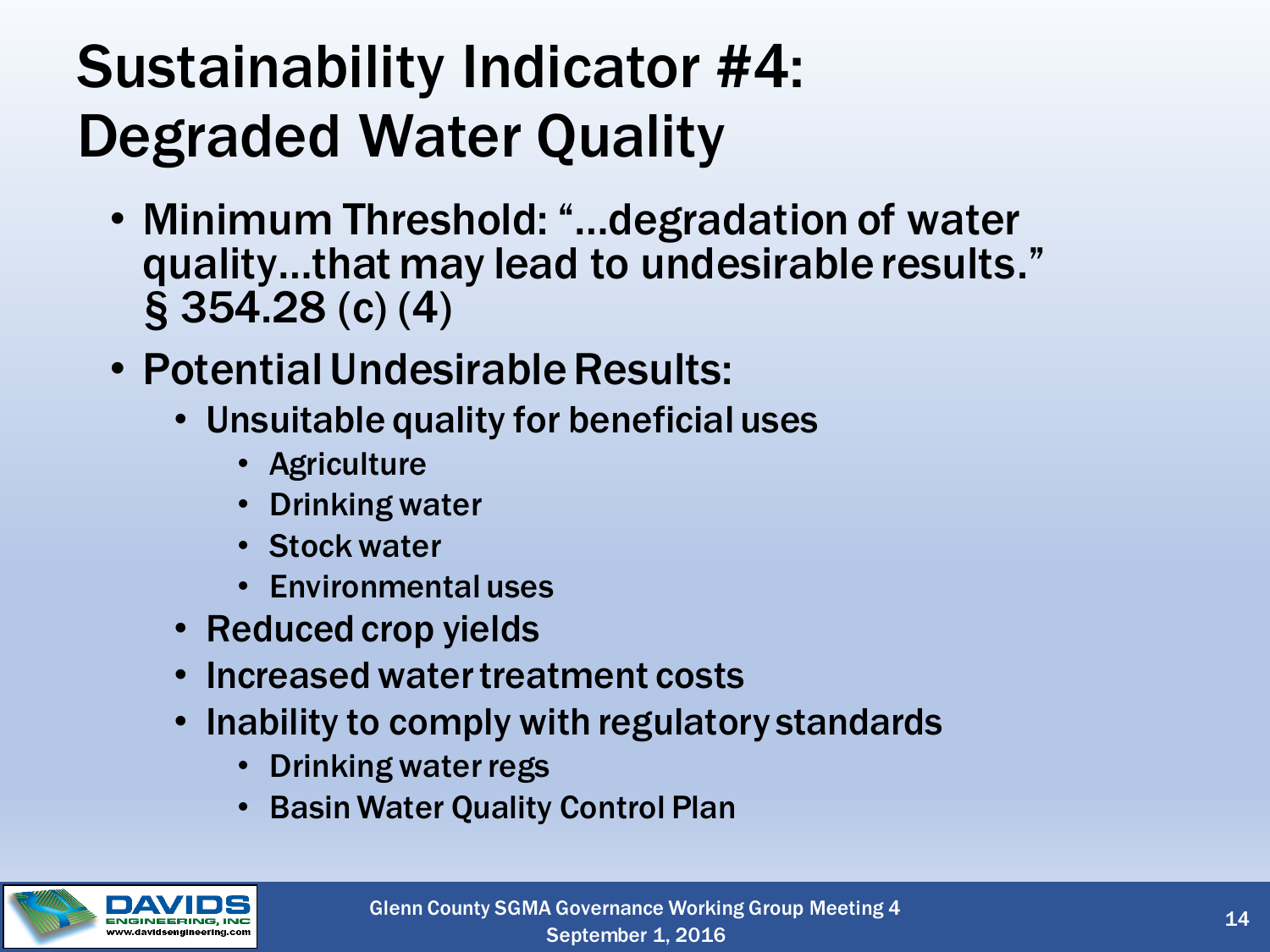### Sustainability Indicator #4: Degraded Water Quality

- Minimum Threshold: "…degradation of water quality…that may lead to undesirable results." § 354.28 (c) (4)
- Potential Undesirable Results:
	- Unsuitable quality for beneficial uses
		- Agriculture
		- Drinking water
		- Stock water
		- Environmental uses
	- Reduced crop yields
	- Increased water treatment costs
	- Inability to comply with regulatory standards
		- Drinking water regs
		- Basin Water Quality Control Plan

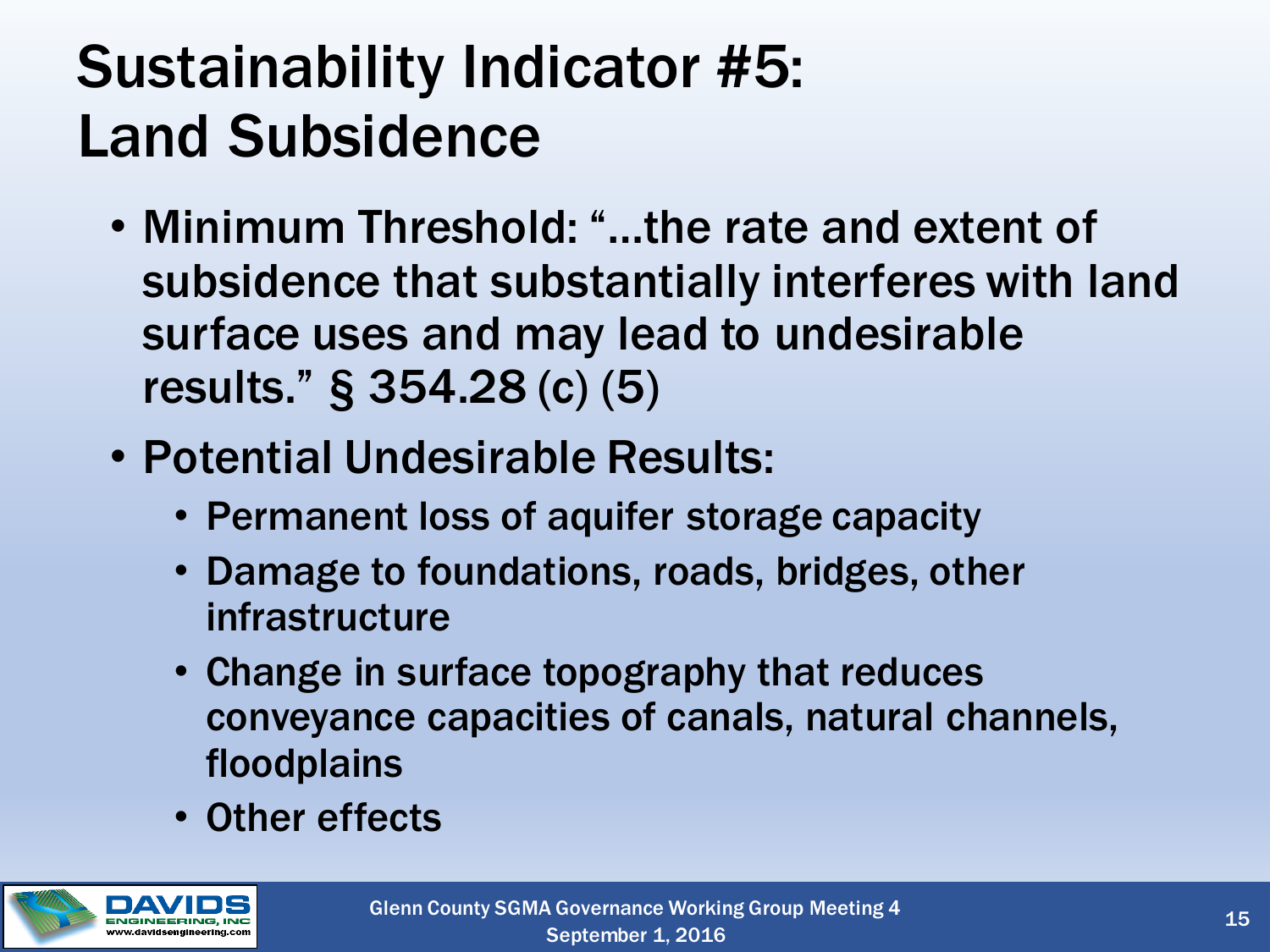### Sustainability Indicator #5: Land Subsidence

- Minimum Threshold: "…the rate and extent of subsidence that substantially interferes with land surface uses and may lead to undesirable results." § 354.28 (c) (5)
- Potential Undesirable Results:
	- Permanent loss of aquifer storage capacity
	- Damage to foundations, roads, bridges, other infrastructure
	- Change in surface topography that reduces conveyance capacities of canals, natural channels, floodplains
	- Other effects

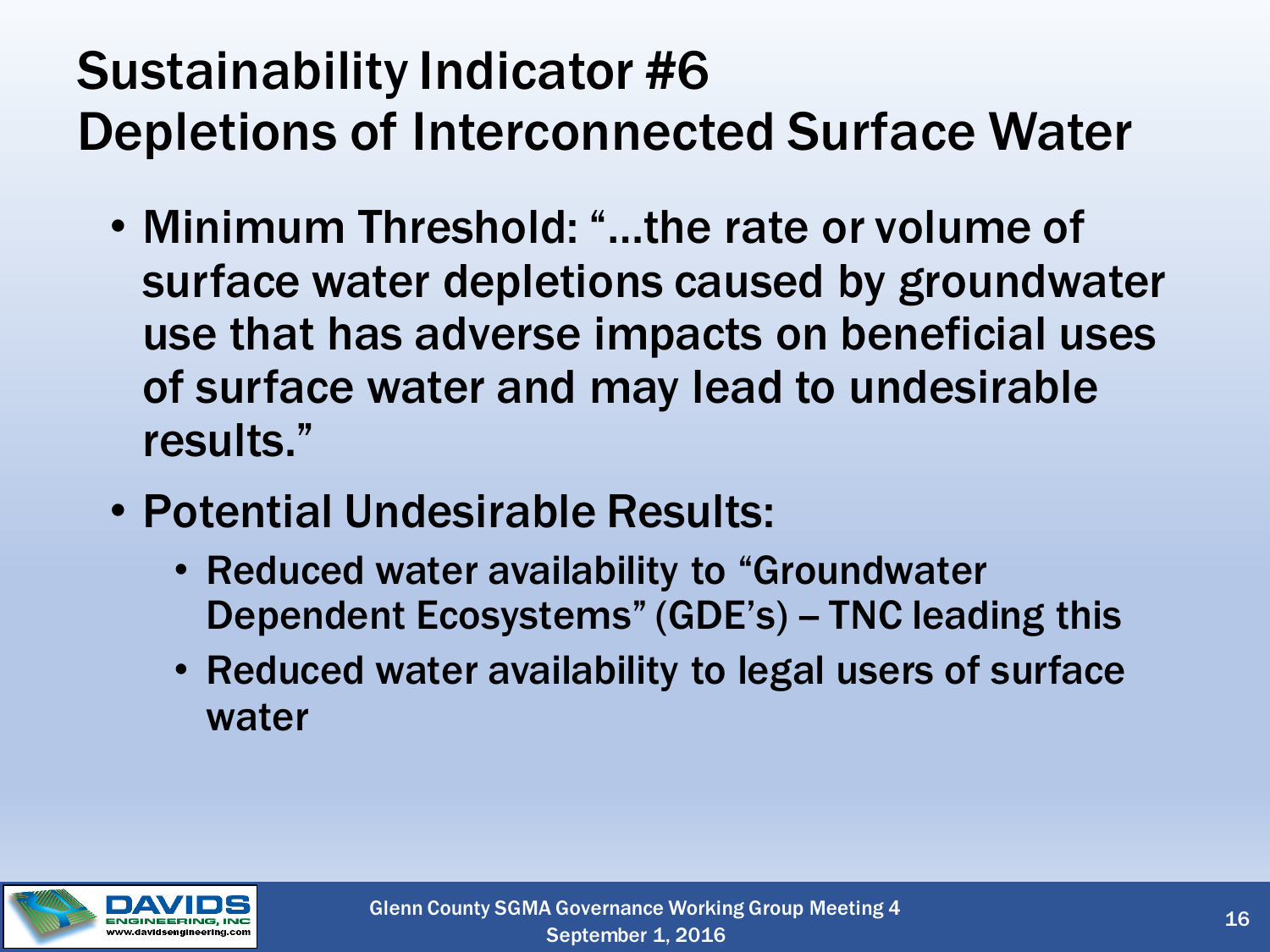#### Sustainability Indicator #6 Depletions of Interconnected Surface Water

- Minimum Threshold: "…the rate or volume of surface water depletions caused by groundwater use that has adverse impacts on beneficial uses of surface water and may lead to undesirable results."
- Potential Undesirable Results:
	- Reduced water availability to "Groundwater Dependent Ecosystems" (GDE's) - TNC leading this
	- Reduced water availability to legal users of surface water

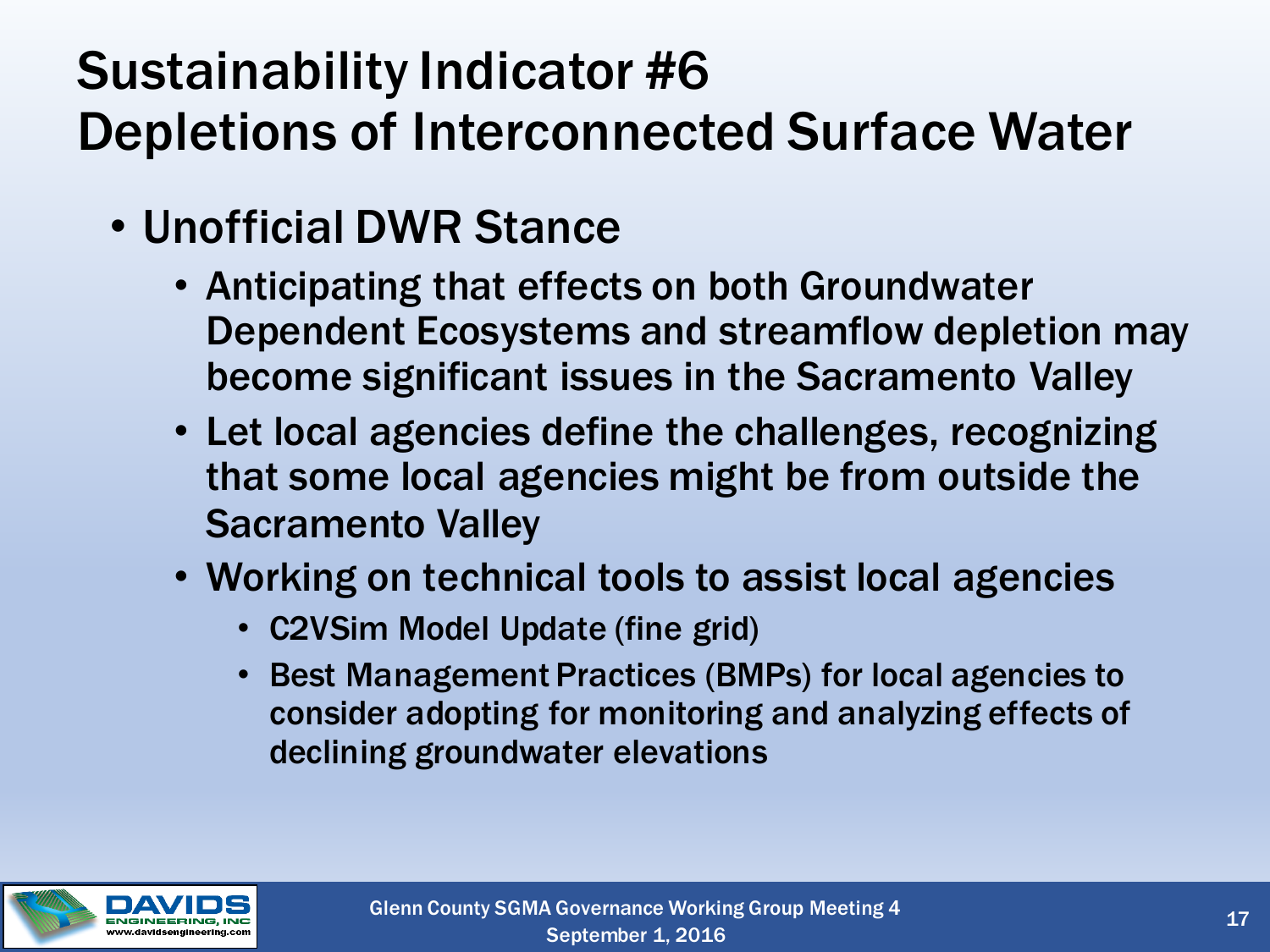#### Sustainability Indicator #6 Depletions of Interconnected Surface Water

- Unofficial DWR Stance
	- Anticipating that effects on both Groundwater Dependent Ecosystems and streamflow depletion may become significant issues in the Sacramento Valley
	- Let local agencies define the challenges, recognizing that some local agencies might be from outside the Sacramento Valley
	- Working on technical tools to assist local agencies
		- C2VSim Model Update (fine grid)
		- Best Management Practices (BMPs) for local agencies to consider adopting for monitoring and analyzing effects of declining groundwater elevations

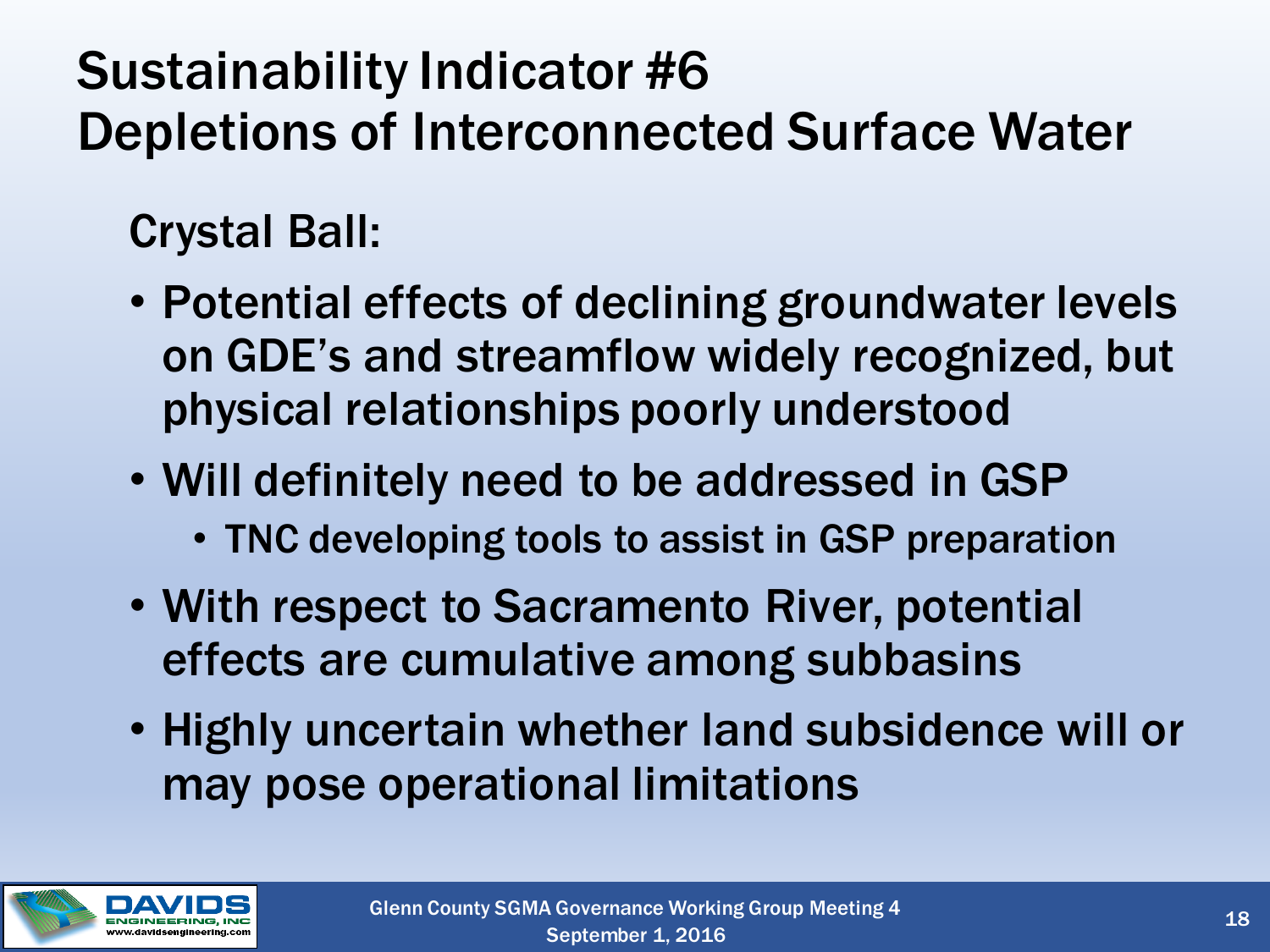#### Sustainability Indicator #6 Depletions of Interconnected Surface Water

#### Crystal Ball:

- Potential effects of declining groundwater levels on GDE's and streamflow widely recognized, but physical relationships poorly understood
- Will definitely need to be addressed in GSP
	- TNC developing tools to assist in GSP preparation
- With respect to Sacramento River, potential effects are cumulative among subbasins
- Highly uncertain whether land subsidence will or may pose operational limitations

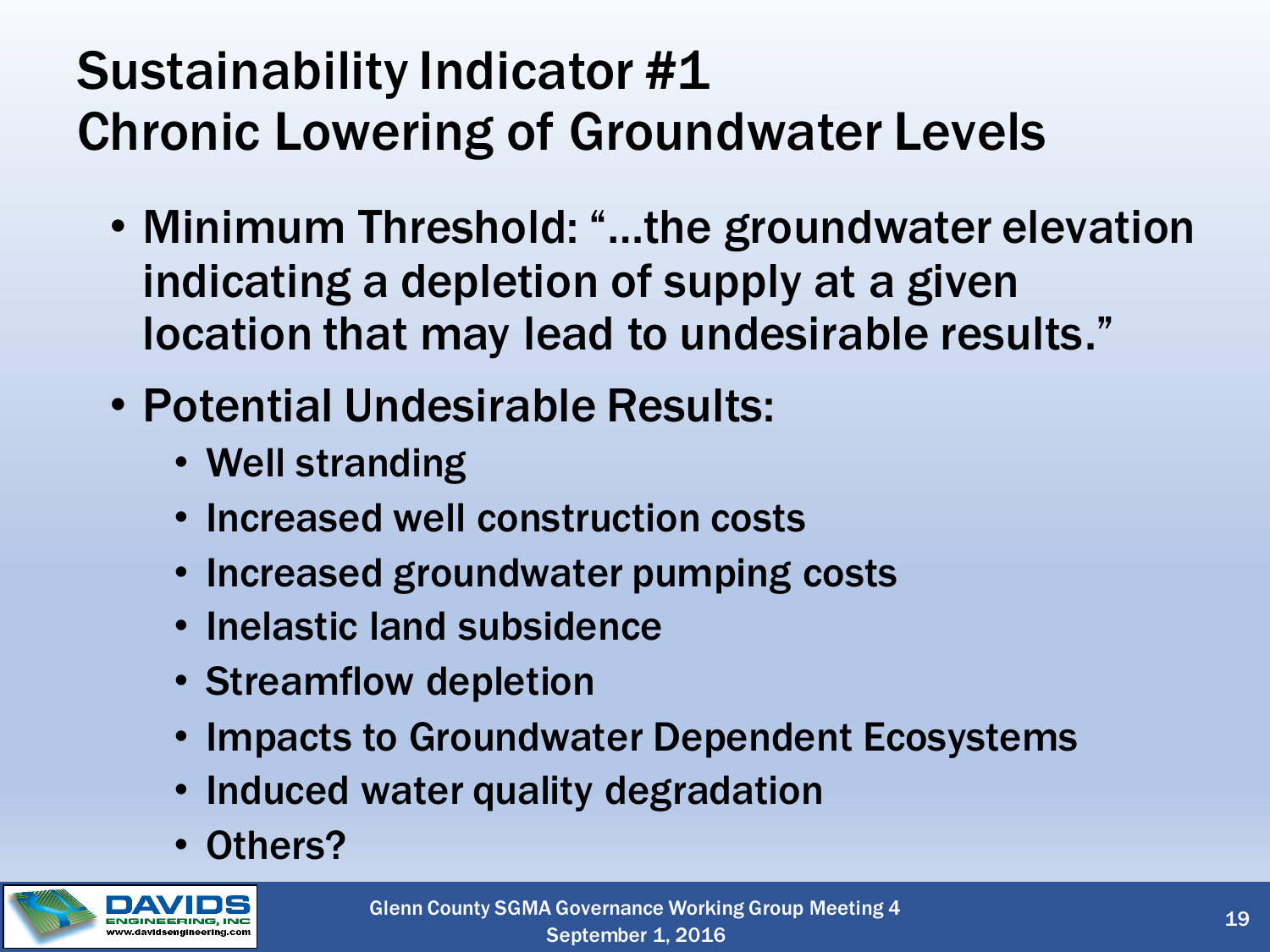#### Sustainability Indicator #1 Chronic Lowering of Groundwater Levels

- Minimum Threshold: "...the groundwater elevation indicating a depletion of supply at a given location that may lead to undesirable results."
- Potential Undesirable Results:
	- Well stranding
	- Increased well construction costs
	- Increased groundwater pumping costs
	- Inelastic land subsidence
	- Streamflow depletion
	- Impacts to Groundwater Dependent Ecosystems
	- Induced water quality degradation
	- Others?

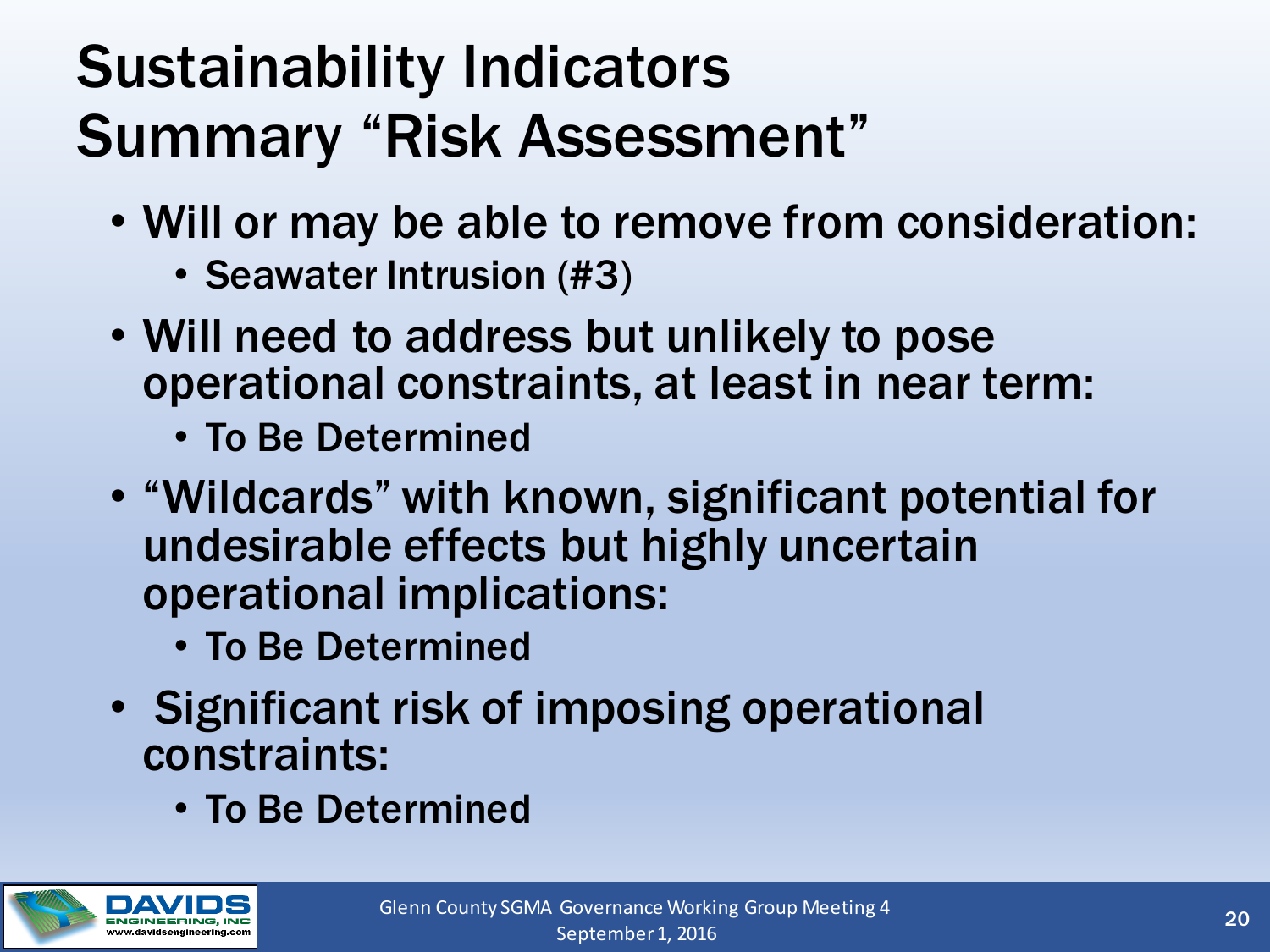### Sustainability Indicators Summary "Risk Assessment"

- Will or may be able to remove from consideration:
	- Seawater Intrusion (#3)
- Will need to address but unlikely to pose operational constraints, at least in near term:
	- To Be Determined
- "Wildcards" with known, significant potential for undesirable effects but highly uncertain operational implications:
	- To Be Determined
- Significant risk of imposing operational constraints:
	- To Be Determined

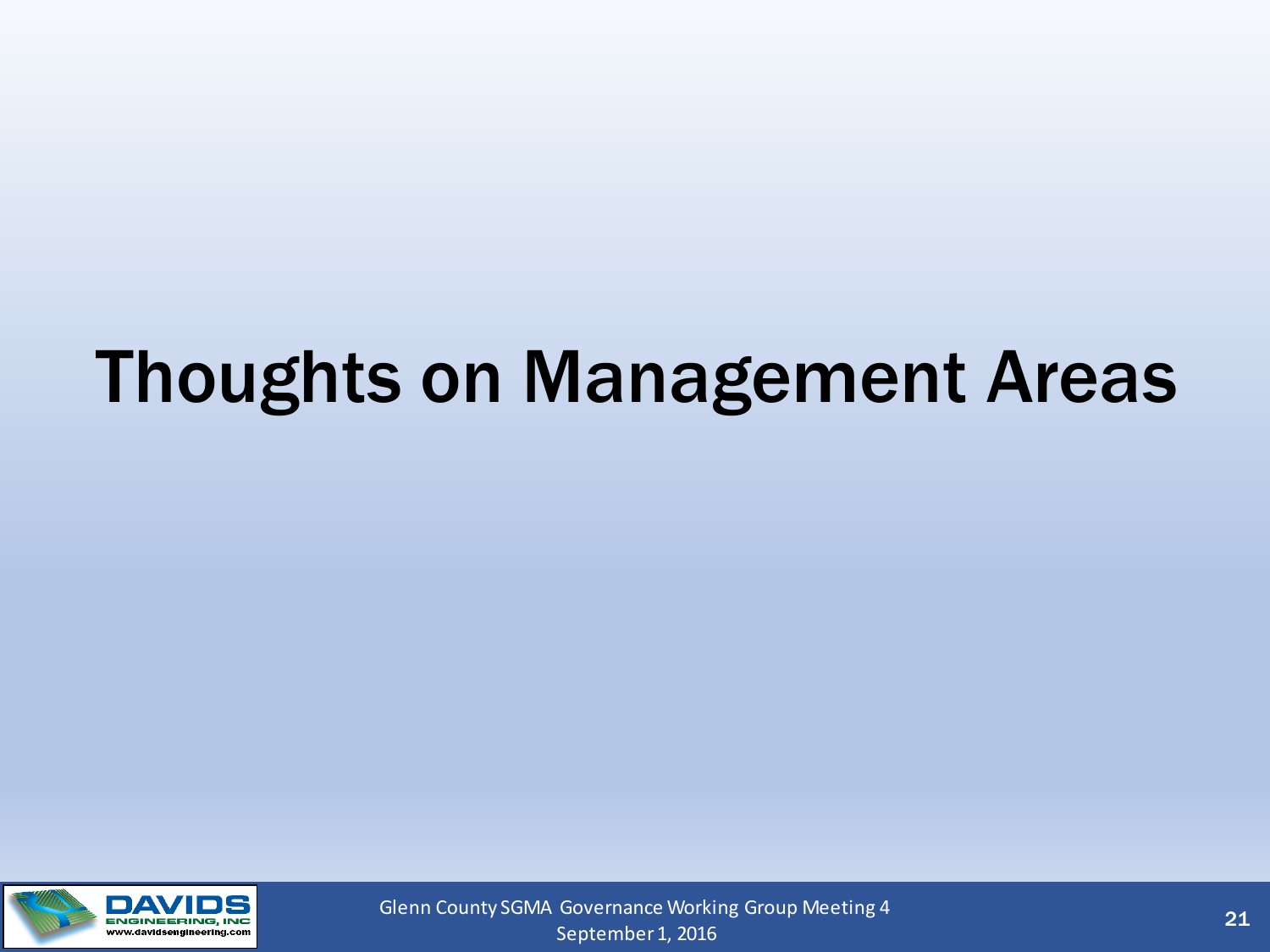## Thoughts on Management Areas



September 1, 2016 Glenn County SGMA Governance Working Group Meeting 4 21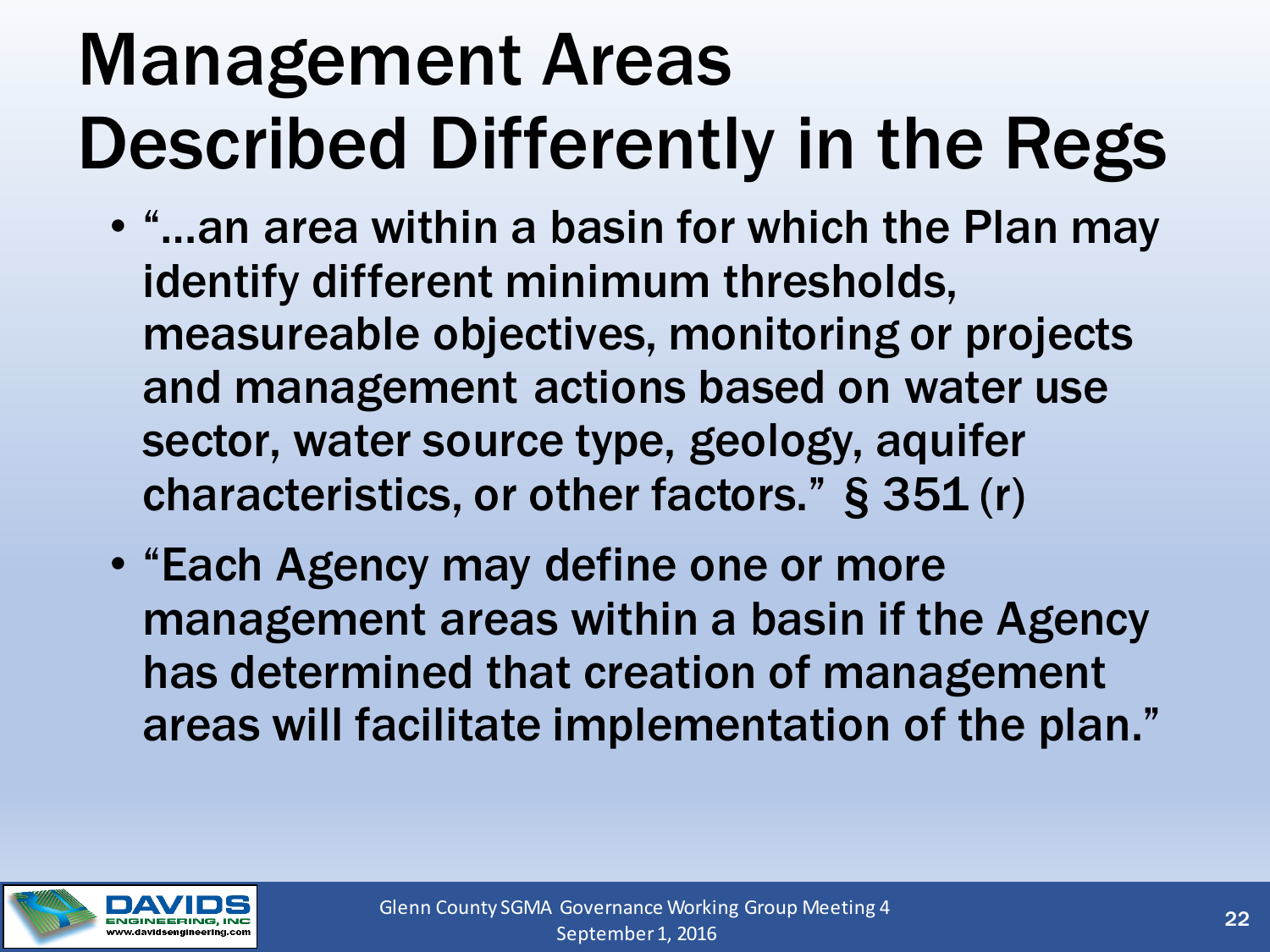## Management Areas Described Differently in the Regs

- "…an area within a basin for which the Plan may identify different minimum thresholds, measureable objectives, monitoring or projects and management actions based on water use sector, water source type, geology, aquifer characteristics, or other factors." § 351 (r)
- "Each Agency may define one or more management areas within a basin if the Agency has determined that creation of management areas will facilitate implementation of the plan."

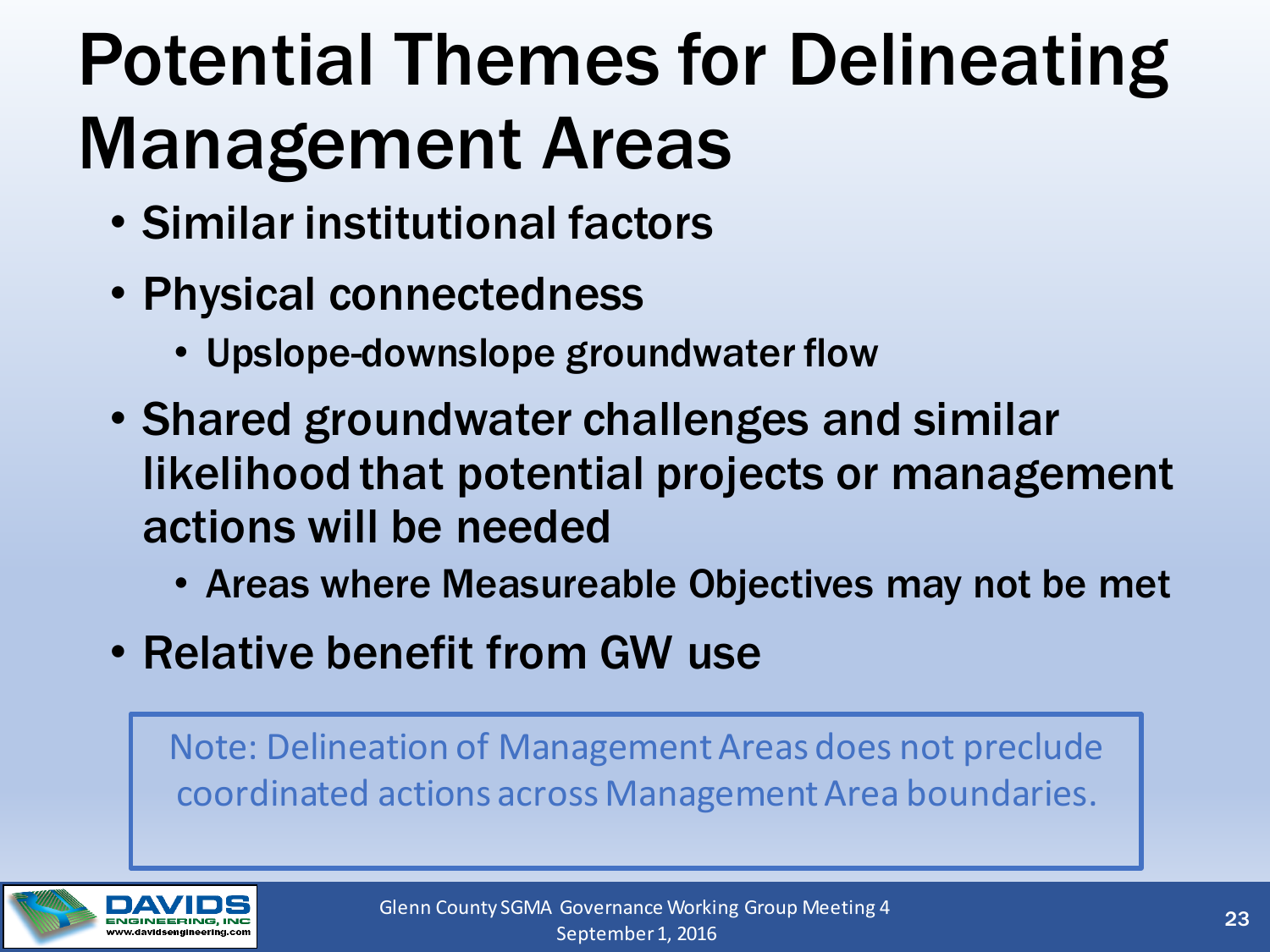# Potential Themes for Delineating Management Areas

- Similar institutional factors
- Physical connectedness
	- Upslope-downslope groundwater flow
- Shared groundwater challenges and similar likelihood that potential projects or management actions will be needed
	- Areas where Measureable Objectives may not be met
- Relative benefit from GW use

Note: Delineation of Management Areas does not preclude coordinated actions across Management Area boundaries.